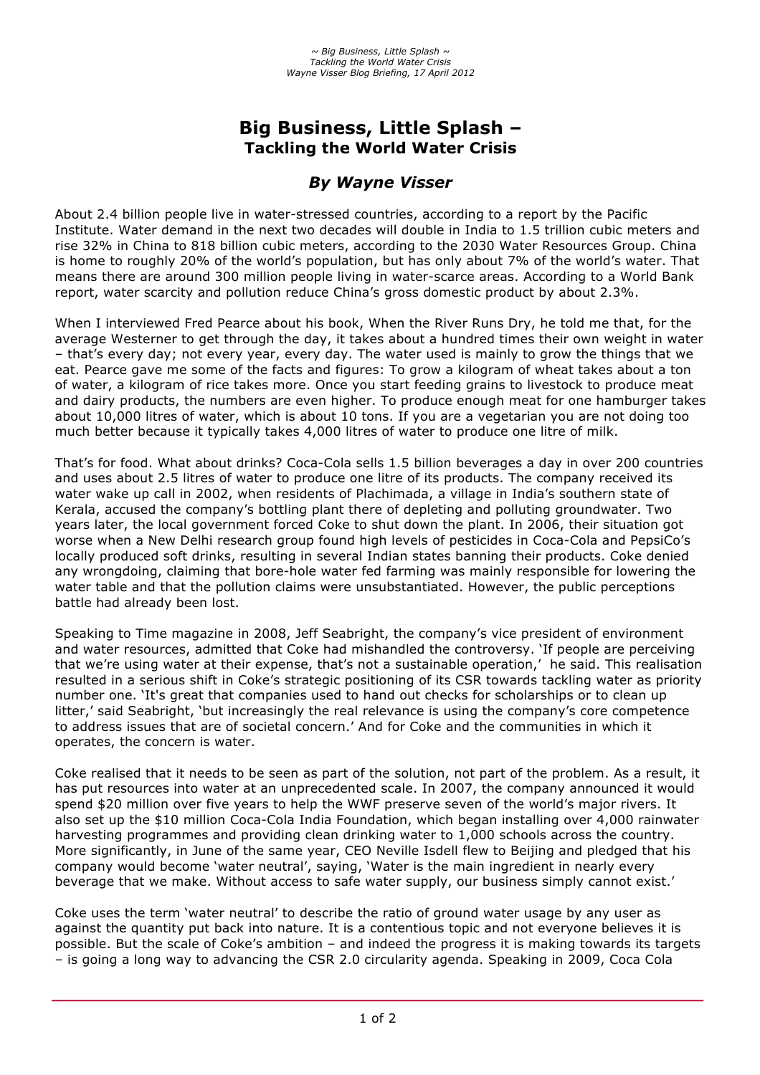# **Big Business, Little Splash – Tackling the World Water Crisis**

# *By Wayne Visser*

About 2.4 billion people live in water-stressed countries, according to a report by the Pacific Institute. Water demand in the next two decades will double in India to 1.5 trillion cubic meters and rise 32% in China to 818 billion cubic meters, according to the 2030 Water Resources Group. China is home to roughly 20% of the world's population, but has only about 7% of the world's water. That means there are around 300 million people living in water-scarce areas. According to a World Bank report, water scarcity and pollution reduce China's gross domestic product by about 2.3%.

When I interviewed Fred Pearce about his book, When the River Runs Dry, he told me that, for the average Westerner to get through the day, it takes about a hundred times their own weight in water – that's every day; not every year, every day. The water used is mainly to grow the things that we eat. Pearce gave me some of the facts and figures: To grow a kilogram of wheat takes about a ton of water, a kilogram of rice takes more. Once you start feeding grains to livestock to produce meat and dairy products, the numbers are even higher. To produce enough meat for one hamburger takes about 10,000 litres of water, which is about 10 tons. If you are a vegetarian you are not doing too much better because it typically takes 4,000 litres of water to produce one litre of milk.

That's for food. What about drinks? Coca-Cola sells 1.5 billion beverages a day in over 200 countries and uses about 2.5 litres of water to produce one litre of its products. The company received its water wake up call in 2002, when residents of Plachimada, a village in India's southern state of Kerala, accused the company's bottling plant there of depleting and polluting groundwater. Two years later, the local government forced Coke to shut down the plant. In 2006, their situation got worse when a New Delhi research group found high levels of pesticides in Coca-Cola and PepsiCo's locally produced soft drinks, resulting in several Indian states banning their products. Coke denied any wrongdoing, claiming that bore-hole water fed farming was mainly responsible for lowering the water table and that the pollution claims were unsubstantiated. However, the public perceptions battle had already been lost.

Speaking to Time magazine in 2008, Jeff Seabright, the company's vice president of environment and water resources, admitted that Coke had mishandled the controversy. 'If people are perceiving that we're using water at their expense, that's not a sustainable operation,' he said. This realisation resulted in a serious shift in Coke's strategic positioning of its CSR towards tackling water as priority number one. 'It's great that companies used to hand out checks for scholarships or to clean up litter,' said Seabright, 'but increasingly the real relevance is using the company's core competence to address issues that are of societal concern.' And for Coke and the communities in which it operates, the concern is water.

Coke realised that it needs to be seen as part of the solution, not part of the problem. As a result, it has put resources into water at an unprecedented scale. In 2007, the company announced it would spend \$20 million over five years to help the WWF preserve seven of the world's major rivers. It also set up the \$10 million Coca-Cola India Foundation, which began installing over 4,000 rainwater harvesting programmes and providing clean drinking water to 1,000 schools across the country. More significantly, in June of the same year, CEO Neville Isdell flew to Beijing and pledged that his company would become 'water neutral', saying, 'Water is the main ingredient in nearly every beverage that we make. Without access to safe water supply, our business simply cannot exist.'

Coke uses the term 'water neutral' to describe the ratio of ground water usage by any user as against the quantity put back into nature. It is a contentious topic and not everyone believes it is possible. But the scale of Coke's ambition – and indeed the progress it is making towards its targets – is going a long way to advancing the CSR 2.0 circularity agenda. Speaking in 2009, Coca Cola